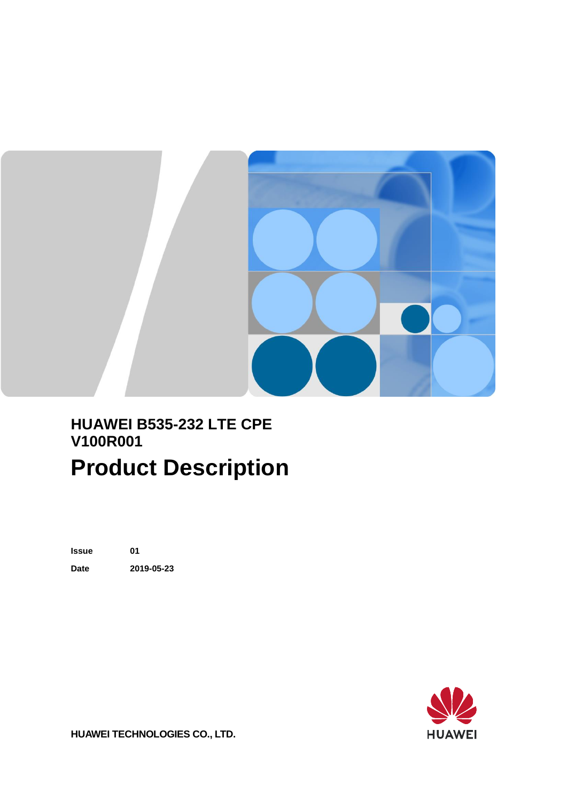

#### **HUAWEI B535-232 LTE CPE V100R001 Product Description**

**Issue 01 Date 2019-05-23**



**HUAWEI TECHNOLOGIES CO., LTD.**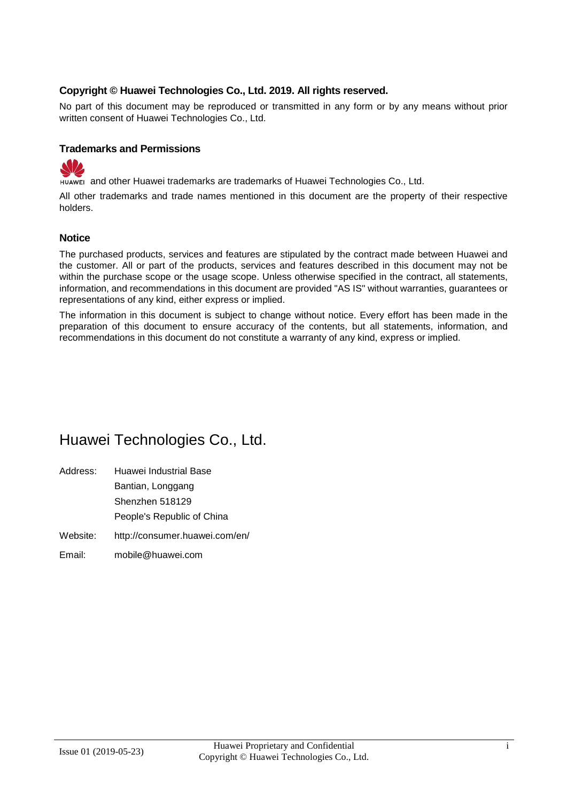#### **Copyright © Huawei Technologies Co., Ltd. 2019. All rights reserved.**

No part of this document may be reproduced or transmitted in any form or by any means without prior written consent of Huawei Technologies Co., Ltd.

#### **Trademarks and Permissions**



and other Huawei trademarks are trademarks of Huawei Technologies Co., Ltd.

All other trademarks and trade names mentioned in this document are the property of their respective holders.

#### **Notice**

The purchased products, services and features are stipulated by the contract made between Huawei and the customer. All or part of the products, services and features described in this document may not be within the purchase scope or the usage scope. Unless otherwise specified in the contract, all statements, information, and recommendations in this document are provided "AS IS" without warranties, guarantees or representations of any kind, either express or implied.

The information in this document is subject to change without notice. Every effort has been made in the preparation of this document to ensure accuracy of the contents, but all statements, information, and recommendations in this document do not constitute a warranty of any kind, express or implied.

#### Huawei Technologies Co., Ltd.

- Address: Huawei Industrial Base Bantian, Longgang Shenzhen 518129 People's Republic of China
- Website: <http://consumer.huawei.com/en/>
- Email: [mobile@huawei.com](mailto:mobile@huawei.com)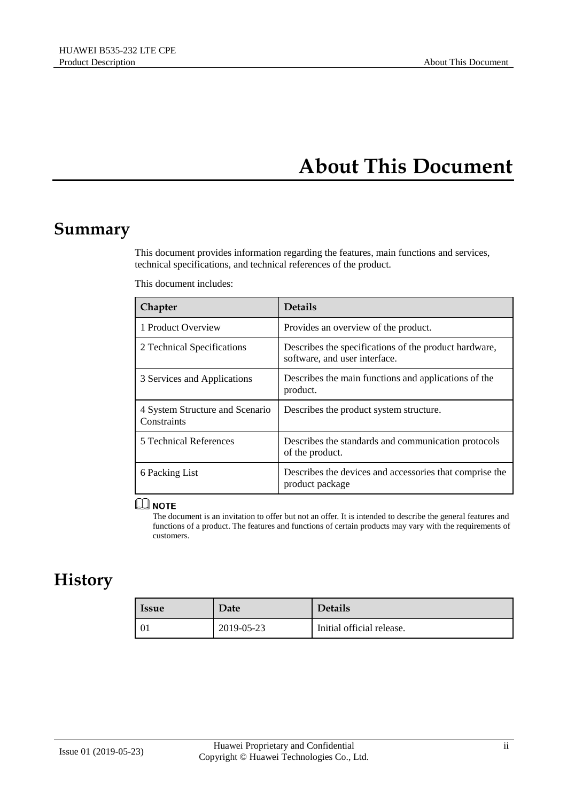#### **About This Document**

#### <span id="page-2-0"></span>**Summary**

This document provides information regarding the features, main functions and services, technical specifications, and technical references of the product.

| Chapter                                        | <b>Details</b>                                                                         |
|------------------------------------------------|----------------------------------------------------------------------------------------|
| 1 Product Overview                             | Provides an overview of the product.                                                   |
| 2 Technical Specifications                     | Describes the specifications of the product hardware,<br>software, and user interface. |
| 3 Services and Applications                    | Describes the main functions and applications of the<br>product.                       |
| 4 System Structure and Scenario<br>Constraints | Describes the product system structure.                                                |
| 5 Technical References                         | Describes the standards and communication protocols<br>of the product.                 |
| 6 Packing List                                 | Describes the devices and accessories that comprise the<br>product package             |

This document includes:

#### $\square$  Note

The document is an invitation to offer but not an offer. It is intended to describe the general features and functions of a product. The features and functions of certain products may vary with the requirements of customers.

#### **History**

| <b>Issue</b> | Date       | <b>Details</b>            |
|--------------|------------|---------------------------|
| 01           | 2019-05-23 | Initial official release. |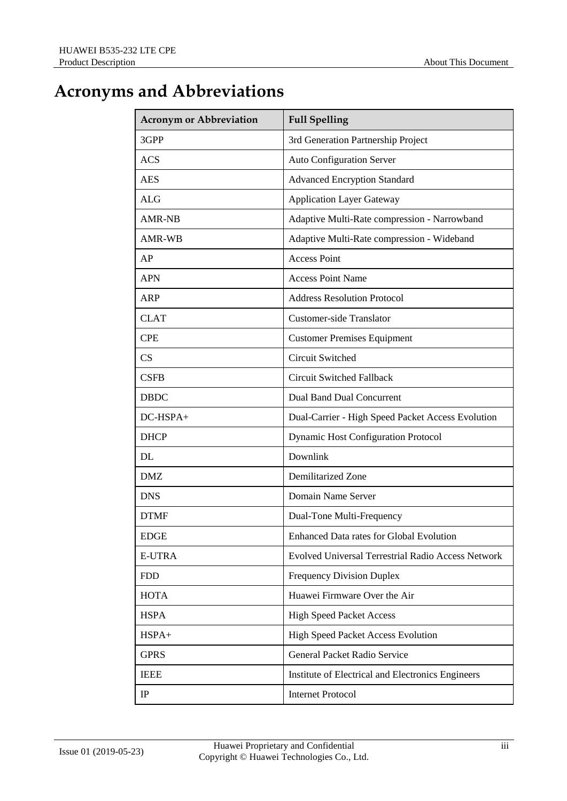#### **Acronyms and Abbreviations**

| <b>Acronym or Abbreviation</b> | <b>Full Spelling</b>                                      |
|--------------------------------|-----------------------------------------------------------|
| 3GPP                           | 3rd Generation Partnership Project                        |
| <b>ACS</b>                     | <b>Auto Configuration Server</b>                          |
| <b>AES</b>                     | <b>Advanced Encryption Standard</b>                       |
| <b>ALG</b>                     | <b>Application Layer Gateway</b>                          |
| <b>AMR-NB</b>                  | Adaptive Multi-Rate compression - Narrowband              |
| AMR-WB                         | Adaptive Multi-Rate compression - Wideband                |
| AP                             | <b>Access Point</b>                                       |
| <b>APN</b>                     | <b>Access Point Name</b>                                  |
| <b>ARP</b>                     | <b>Address Resolution Protocol</b>                        |
| <b>CLAT</b>                    | <b>Customer-side Translator</b>                           |
| <b>CPE</b>                     | <b>Customer Premises Equipment</b>                        |
| <b>CS</b>                      | <b>Circuit Switched</b>                                   |
| <b>CSFB</b>                    | <b>Circuit Switched Fallback</b>                          |
| <b>DBDC</b>                    | <b>Dual Band Dual Concurrent</b>                          |
| DC-HSPA+                       | Dual-Carrier - High Speed Packet Access Evolution         |
| <b>DHCP</b>                    | <b>Dynamic Host Configuration Protocol</b>                |
| DL                             | Downlink                                                  |
| <b>DMZ</b>                     | Demilitarized Zone                                        |
| <b>DNS</b>                     | Domain Name Server                                        |
| <b>DTMF</b>                    | Dual-Tone Multi-Frequency                                 |
| <b>EDGE</b>                    | Enhanced Data rates for Global Evolution                  |
| <b>E-UTRA</b>                  | <b>Evolved Universal Terrestrial Radio Access Network</b> |
| <b>FDD</b>                     | <b>Frequency Division Duplex</b>                          |
| <b>HOTA</b>                    | Huawei Firmware Over the Air                              |
| <b>HSPA</b>                    | <b>High Speed Packet Access</b>                           |
| HSPA+                          | High Speed Packet Access Evolution                        |
| <b>GPRS</b>                    | General Packet Radio Service                              |
| <b>IEEE</b>                    | Institute of Electrical and Electronics Engineers         |
| IP                             | <b>Internet Protocol</b>                                  |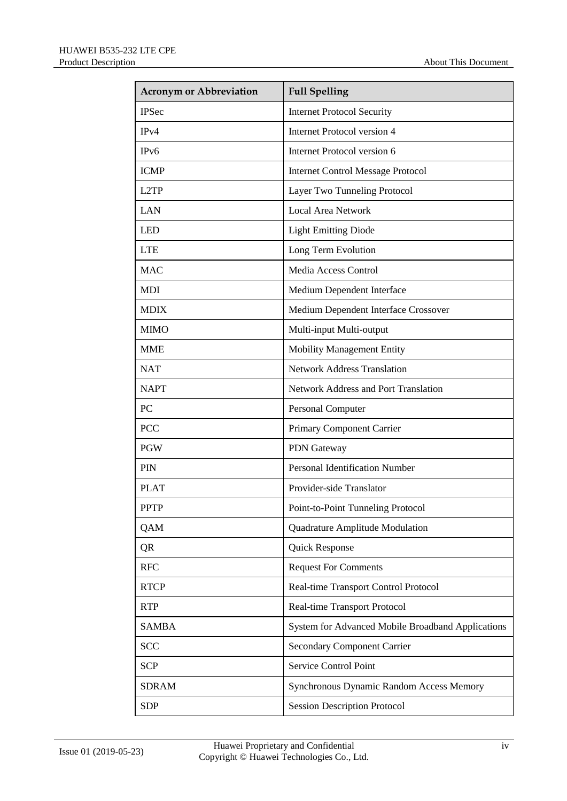| <b>Acronym or Abbreviation</b> | <b>Full Spelling</b>                              |
|--------------------------------|---------------------------------------------------|
| <b>IPSec</b>                   | <b>Internet Protocol Security</b>                 |
| IPv4                           | Internet Protocol version 4                       |
| IPv6                           | Internet Protocol version 6                       |
| <b>ICMP</b>                    | <b>Internet Control Message Protocol</b>          |
| L2TP                           | Layer Two Tunneling Protocol                      |
| <b>LAN</b>                     | <b>Local Area Network</b>                         |
| <b>LED</b>                     | <b>Light Emitting Diode</b>                       |
| <b>LTE</b>                     | Long Term Evolution                               |
| <b>MAC</b>                     | Media Access Control                              |
| <b>MDI</b>                     | Medium Dependent Interface                        |
| <b>MDIX</b>                    | Medium Dependent Interface Crossover              |
| <b>MIMO</b>                    | Multi-input Multi-output                          |
| <b>MME</b>                     | <b>Mobility Management Entity</b>                 |
| <b>NAT</b>                     | <b>Network Address Translation</b>                |
| <b>NAPT</b>                    | <b>Network Address and Port Translation</b>       |
| PC                             | Personal Computer                                 |
| <b>PCC</b>                     | Primary Component Carrier                         |
| <b>PGW</b>                     | <b>PDN</b> Gateway                                |
| <b>PIN</b>                     | <b>Personal Identification Number</b>             |
| <b>PLAT</b>                    | Provider-side Translator                          |
| <b>PPTP</b>                    | Point-to-Point Tunneling Protocol                 |
| QAM                            | Quadrature Amplitude Modulation                   |
| QR                             | Quick Response                                    |
| <b>RFC</b>                     | <b>Request For Comments</b>                       |
| <b>RTCP</b>                    | Real-time Transport Control Protocol              |
| <b>RTP</b>                     | Real-time Transport Protocol                      |
| <b>SAMBA</b>                   | System for Advanced Mobile Broadband Applications |
| <b>SCC</b>                     | <b>Secondary Component Carrier</b>                |
| <b>SCP</b>                     | Service Control Point                             |
| <b>SDRAM</b>                   | Synchronous Dynamic Random Access Memory          |
| <b>SDP</b>                     | <b>Session Description Protocol</b>               |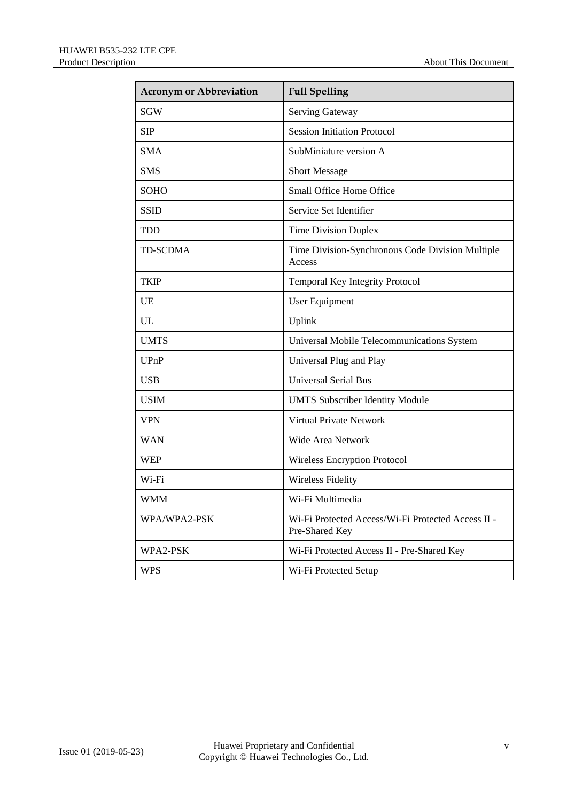| <b>Acronym or Abbreviation</b> | <b>Full Spelling</b>                                                 |
|--------------------------------|----------------------------------------------------------------------|
| <b>SGW</b>                     | <b>Serving Gateway</b>                                               |
| <b>SIP</b>                     | <b>Session Initiation Protocol</b>                                   |
| <b>SMA</b>                     | SubMiniature version A                                               |
| <b>SMS</b>                     | <b>Short Message</b>                                                 |
| <b>SOHO</b>                    | Small Office Home Office                                             |
| <b>SSID</b>                    | Service Set Identifier                                               |
| <b>TDD</b>                     | <b>Time Division Duplex</b>                                          |
| <b>TD-SCDMA</b>                | Time Division-Synchronous Code Division Multiple<br>Access           |
| <b>TKIP</b>                    | Temporal Key Integrity Protocol                                      |
| <b>UE</b>                      | <b>User Equipment</b>                                                |
| UL                             | Uplink                                                               |
| <b>UMTS</b>                    | Universal Mobile Telecommunications System                           |
| <b>UPnP</b>                    | Universal Plug and Play                                              |
| <b>USB</b>                     | <b>Universal Serial Bus</b>                                          |
| <b>USIM</b>                    | <b>UMTS Subscriber Identity Module</b>                               |
| <b>VPN</b>                     | Virtual Private Network                                              |
| <b>WAN</b>                     | Wide Area Network                                                    |
| <b>WEP</b>                     | <b>Wireless Encryption Protocol</b>                                  |
| Wi-Fi                          | <b>Wireless Fidelity</b>                                             |
| <b>WMM</b>                     | Wi-Fi Multimedia                                                     |
| WPA/WPA2-PSK                   | Wi-Fi Protected Access/Wi-Fi Protected Access II -<br>Pre-Shared Key |
| WPA2-PSK                       | Wi-Fi Protected Access II - Pre-Shared Key                           |
| <b>WPS</b>                     | Wi-Fi Protected Setup                                                |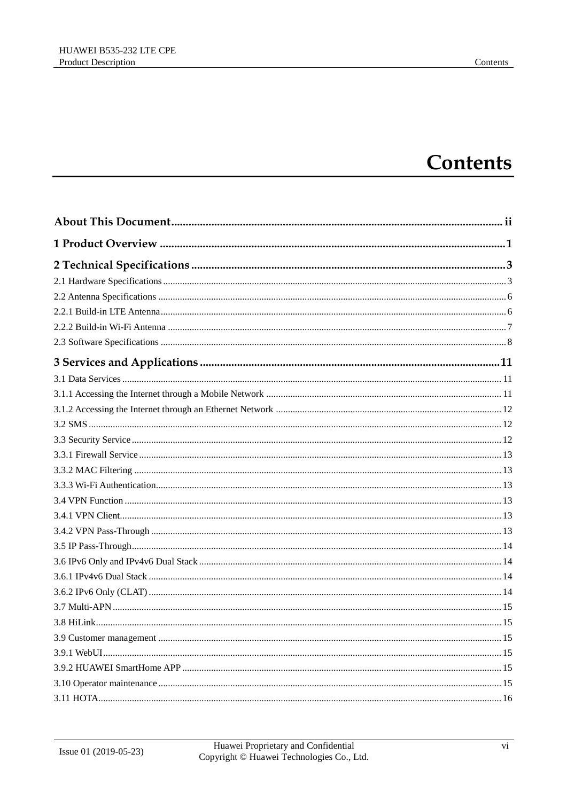#### **Contents**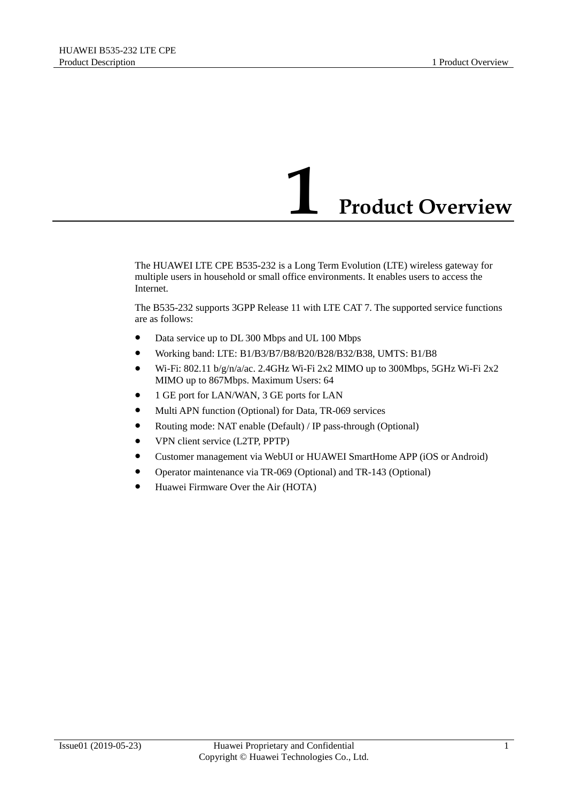## **1 Product Overview**

<span id="page-8-0"></span>The HUAWEI LTE CPE B535-232 is a Long Term Evolution (LTE) wireless gateway for multiple users in household or small office environments. It enables users to access the Internet.

The B535-232 supports 3GPP Release 11 with LTE CAT 7. The supported service functions are as follows:

- Data service up to DL 300 Mbps and UL 100 Mbps
- Working band: LTE: B1/B3/B7/B8/B20/B28/B32/B38, UMTS: B1/B8
- Wi-Fi: 802.11 b/g/n/a/ac. 2.4GHz Wi-Fi 2x2 MIMO up to 300Mbps, 5GHz Wi-Fi 2x2 MIMO up to 867Mbps. Maximum Users: 64
- 1 GE port for LAN/WAN, 3 GE ports for LAN
- $\bullet$  Multi APN function (Optional) for Data, TR-069 services
- Routing mode: NAT enable (Default) / IP pass-through (Optional)
- VPN client service (L2TP, PPTP)
- Customer management via WebUI or HUAWEI SmartHome APP (iOS or Android)
- Operator maintenance via TR-069 (Optional) and TR-143 (Optional)
- Huawei Firmware Over the Air (HOTA)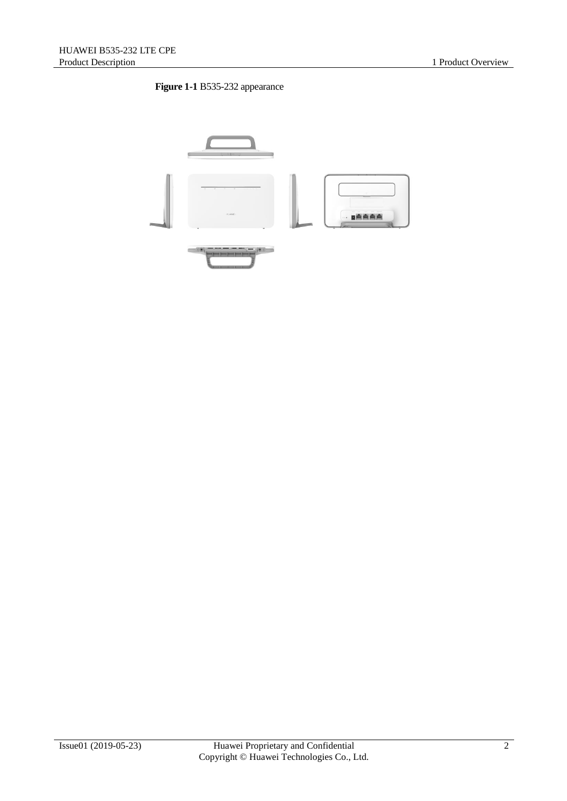#### **Figure 1-1** B535-232 appearance

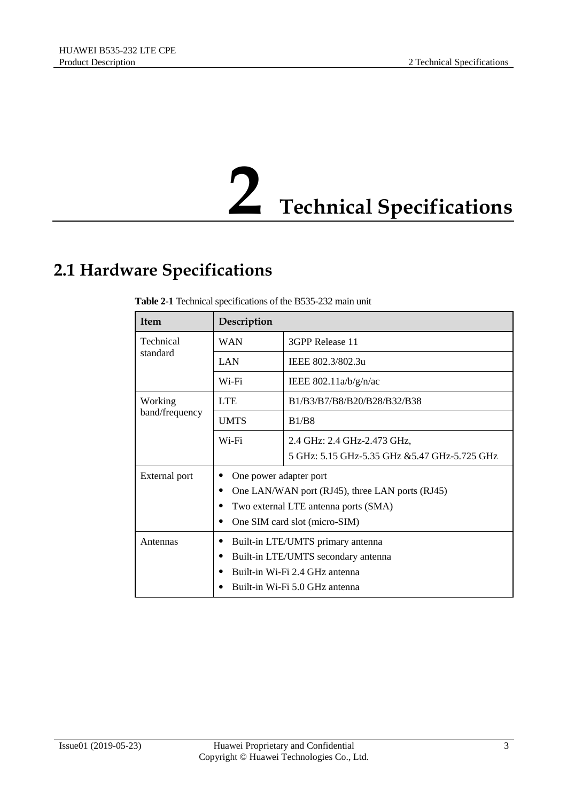

#### <span id="page-10-1"></span><span id="page-10-0"></span>**2.1 Hardware Specifications**

| <b>Item</b>                   | Description                                     |                                              |  |  |  |
|-------------------------------|-------------------------------------------------|----------------------------------------------|--|--|--|
| Technical                     | WAN                                             | 3GPP Release 11                              |  |  |  |
| standard                      | <b>LAN</b>                                      | IEEE 802.3/802.3u                            |  |  |  |
|                               | Wi-Fi                                           | IEEE $802.11a/b/g/n/ac$                      |  |  |  |
| Working                       | <b>LTE</b>                                      | B1/B3/B7/B8/B20/B28/B32/B38                  |  |  |  |
| band/frequency<br><b>UMTS</b> |                                                 | <b>B1/B8</b>                                 |  |  |  |
|                               | Wi-Fi                                           | 2.4 GHz: 2.4 GHz-2.473 GHz,                  |  |  |  |
|                               |                                                 | 5 GHz: 5.15 GHz-5.35 GHz &5.47 GHz-5.725 GHz |  |  |  |
| External port                 | One power adapter port                          |                                              |  |  |  |
|                               | One LAN/WAN port (RJ45), three LAN ports (RJ45) |                                              |  |  |  |
|                               |                                                 | Two external LTE antenna ports (SMA)         |  |  |  |
|                               |                                                 | One SIM card slot (micro-SIM)                |  |  |  |
| Antennas                      | Built-in LTE/UMTS primary antenna               |                                              |  |  |  |
|                               | Built-in LTE/UMTS secondary antenna             |                                              |  |  |  |
|                               |                                                 | Built-in Wi-Fi 2.4 GHz antenna               |  |  |  |
|                               | Built-in Wi-Fi 5.0 GHz antenna                  |                                              |  |  |  |

**Table 2-1** Technical specifications of the B535-232 main unit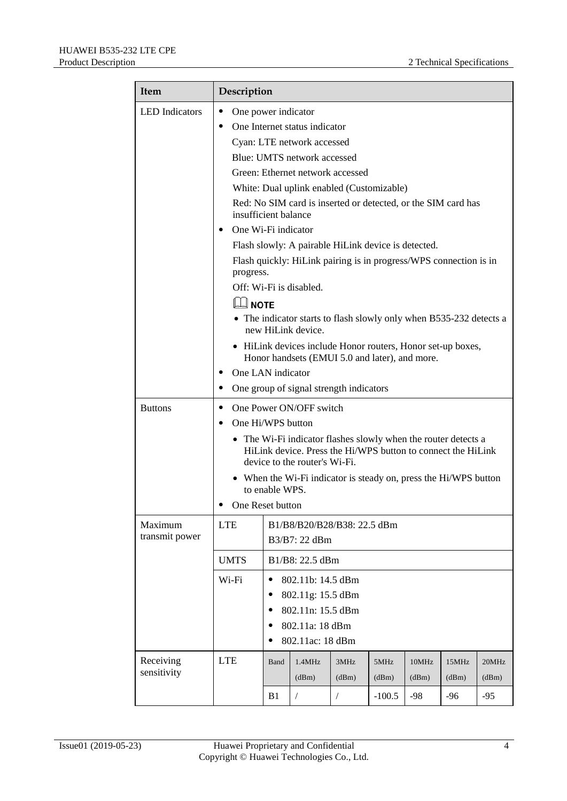| <b>Item</b>           | Description                                                                                                                                                                                                          |                      |                                                                                           |            |          |       |       |       |  |
|-----------------------|----------------------------------------------------------------------------------------------------------------------------------------------------------------------------------------------------------------------|----------------------|-------------------------------------------------------------------------------------------|------------|----------|-------|-------|-------|--|
| <b>LED</b> Indicators | One power indicator<br>٠                                                                                                                                                                                             |                      |                                                                                           |            |          |       |       |       |  |
|                       | One Internet status indicator                                                                                                                                                                                        |                      |                                                                                           |            |          |       |       |       |  |
|                       | Cyan: LTE network accessed                                                                                                                                                                                           |                      |                                                                                           |            |          |       |       |       |  |
|                       | Blue: UMTS network accessed                                                                                                                                                                                          |                      |                                                                                           |            |          |       |       |       |  |
|                       | Green: Ethernet network accessed                                                                                                                                                                                     |                      |                                                                                           |            |          |       |       |       |  |
|                       | White: Dual uplink enabled (Customizable)                                                                                                                                                                            |                      |                                                                                           |            |          |       |       |       |  |
|                       | insufficient balance                                                                                                                                                                                                 |                      | Red: No SIM card is inserted or detected, or the SIM card has                             |            |          |       |       |       |  |
|                       | One Wi-Fi indicator                                                                                                                                                                                                  |                      |                                                                                           |            |          |       |       |       |  |
|                       |                                                                                                                                                                                                                      |                      | Flash slowly: A pairable HiLink device is detected.                                       |            |          |       |       |       |  |
|                       | progress.                                                                                                                                                                                                            |                      | Flash quickly: HiLink pairing is in progress/WPS connection is in                         |            |          |       |       |       |  |
|                       |                                                                                                                                                                                                                      |                      | Off: Wi-Fi is disabled.                                                                   |            |          |       |       |       |  |
|                       | $\square\hspace{-0.1cm}\square$ note                                                                                                                                                                                 |                      |                                                                                           |            |          |       |       |       |  |
|                       |                                                                                                                                                                                                                      |                      | • The indicator starts to flash slowly only when B535-232 detects a<br>new HiLink device. |            |          |       |       |       |  |
|                       | • HiLink devices include Honor routers, Honor set-up boxes,<br>Honor handsets (EMUI 5.0 and later), and more.<br>One LAN indicator<br>One group of signal strength indicators                                        |                      |                                                                                           |            |          |       |       |       |  |
|                       |                                                                                                                                                                                                                      |                      |                                                                                           |            |          |       |       |       |  |
|                       |                                                                                                                                                                                                                      |                      |                                                                                           |            |          |       |       |       |  |
| <b>Buttons</b>        | One Power ON/OFF switch<br>٠<br>One Hi/WPS button<br>• The Wi-Fi indicator flashes slowly when the router detects a<br>HiLink device. Press the Hi/WPS button to connect the HiLink<br>device to the router's Wi-Fi. |                      |                                                                                           |            |          |       |       |       |  |
|                       |                                                                                                                                                                                                                      |                      |                                                                                           |            |          |       |       |       |  |
|                       |                                                                                                                                                                                                                      |                      |                                                                                           |            |          |       |       |       |  |
|                       |                                                                                                                                                                                                                      |                      | • When the Wi-Fi indicator is steady on, press the Hi/WPS button                          |            |          |       |       |       |  |
|                       |                                                                                                                                                                                                                      | to enable WPS.       |                                                                                           |            |          |       |       |       |  |
|                       | One Reset button                                                                                                                                                                                                     |                      |                                                                                           |            |          |       |       |       |  |
| Maximum               | <b>LTE</b>                                                                                                                                                                                                           |                      | B1/B8/B20/B28/B38: 22.5 dBm                                                               |            |          |       |       |       |  |
| transmit power        |                                                                                                                                                                                                                      |                      | B3/B7: 22 dBm                                                                             |            |          |       |       |       |  |
|                       | <b>UMTS</b>                                                                                                                                                                                                          |                      | B1/B8: 22.5 dBm                                                                           |            |          |       |       |       |  |
|                       | Wi-Fi                                                                                                                                                                                                                | $\bullet$            | 802.11b: 14.5 dBm                                                                         |            |          |       |       |       |  |
|                       |                                                                                                                                                                                                                      |                      | 802.11g: 15.5 dBm                                                                         |            |          |       |       |       |  |
|                       | 802.11n: 15.5 dBm<br>٠                                                                                                                                                                                               |                      |                                                                                           |            |          |       |       |       |  |
|                       |                                                                                                                                                                                                                      | 802.11a: 18 dBm<br>٠ |                                                                                           |            |          |       |       |       |  |
|                       |                                                                                                                                                                                                                      |                      | 802.11ac: 18 dBm                                                                          |            |          |       |       |       |  |
| Receiving             | <b>LTE</b>                                                                                                                                                                                                           | Band                 | 1.4MHz                                                                                    | 3MHz       | 5MHz     | 10MHz | 15MHz | 20MHz |  |
| sensitivity           |                                                                                                                                                                                                                      |                      | (dBm)                                                                                     | (dBm)      | (dBm)    | (dBm) | (dBm) | (dBm) |  |
|                       |                                                                                                                                                                                                                      | B1                   | $\sqrt{2}$                                                                                | $\sqrt{2}$ | $-100.5$ | $-98$ | $-96$ | $-95$ |  |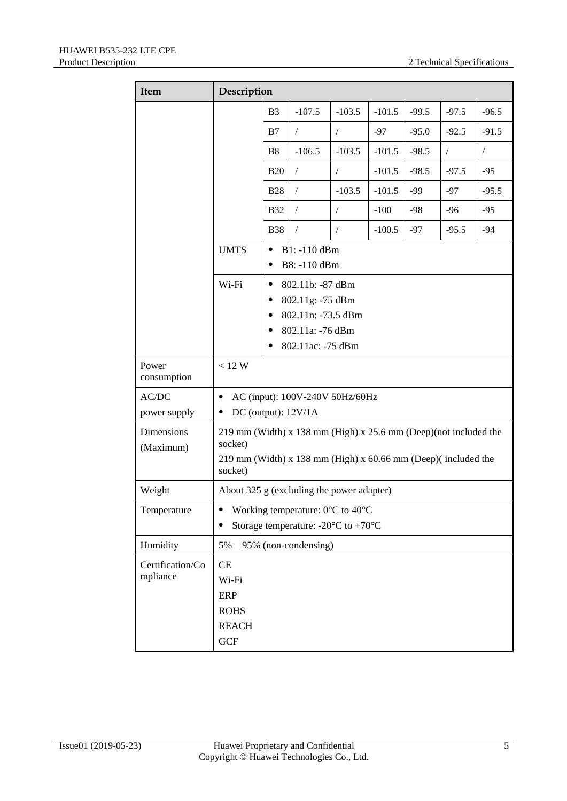| Item                         | Description                                                                                                                                               |                                           |                                                                                                     |            |          |         |            |            |
|------------------------------|-----------------------------------------------------------------------------------------------------------------------------------------------------------|-------------------------------------------|-----------------------------------------------------------------------------------------------------|------------|----------|---------|------------|------------|
|                              |                                                                                                                                                           | B <sub>3</sub>                            | $-107.5$                                                                                            | $-103.5$   | $-101.5$ | $-99.5$ | $-97.5$    | $-96.5$    |
|                              |                                                                                                                                                           | B7                                        | $\sqrt{2}$                                                                                          | $\sqrt{2}$ | $-97$    | $-95.0$ | $-92.5$    | $-91.5$    |
|                              |                                                                                                                                                           | <b>B8</b>                                 | $-106.5$                                                                                            | $-103.5$   | $-101.5$ | $-98.5$ | $\sqrt{2}$ | $\sqrt{2}$ |
|                              |                                                                                                                                                           | <b>B20</b>                                | $\sqrt{2}$                                                                                          | $\sqrt{2}$ | $-101.5$ | $-98.5$ | $-97.5$    | $-95$      |
|                              |                                                                                                                                                           | <b>B28</b>                                | $\sqrt{2}$                                                                                          | $-103.5$   | $-101.5$ | $-99$   | $-97$      | $-95.5$    |
|                              |                                                                                                                                                           | <b>B32</b>                                | $\sqrt{2}$                                                                                          | $\sqrt{2}$ | $-100$   | $-98$   | $-96$      | $-95$      |
|                              |                                                                                                                                                           | <b>B38</b>                                | $\sqrt{2}$                                                                                          | $\sqrt{2}$ | $-100.5$ | $-97$   | $-95.5$    | $-94$      |
|                              | <b>UMTS</b>                                                                                                                                               | $\bullet$                                 | B1: -110 dBm<br>B8: -110 dBm                                                                        |            |          |         |            |            |
|                              | Wi-Fi                                                                                                                                                     | ٠<br>٠                                    | 802.11b: -87 dBm<br>802.11g: -75 dBm<br>802.11n: -73.5 dBm<br>802.11a: -76 dBm<br>802.11ac: -75 dBm |            |          |         |            |            |
| Power<br>consumption         | < 12 W                                                                                                                                                    |                                           |                                                                                                     |            |          |         |            |            |
| AC/DC<br>power supply        | AC (input): 100V-240V 50Hz/60Hz<br>DC (output): $12V/1A$                                                                                                  |                                           |                                                                                                     |            |          |         |            |            |
| Dimensions<br>(Maximum)      | 219 mm (Width) x 138 mm (High) x 25.6 mm (Deep)(not included the<br>socket)<br>219 mm (Width) x 138 mm (High) x $60.66$ mm (Deep)(included the<br>socket) |                                           |                                                                                                     |            |          |         |            |            |
| Weight                       |                                                                                                                                                           | About 325 g (excluding the power adapter) |                                                                                                     |            |          |         |            |            |
| Temperature                  | Working temperature: $0 \, \mathbb{C}$ to $40 \, \mathbb{C}$<br>Storage temperature: -20 $\mathbb C$ to +70 $\mathbb C$                                   |                                           |                                                                                                     |            |          |         |            |            |
| Humidity                     | $5\% - 95\%$ (non-condensing)                                                                                                                             |                                           |                                                                                                     |            |          |         |            |            |
| Certification/Co<br>mpliance | <b>CE</b><br>Wi-Fi<br><b>ERP</b><br><b>ROHS</b><br><b>REACH</b><br><b>GCF</b>                                                                             |                                           |                                                                                                     |            |          |         |            |            |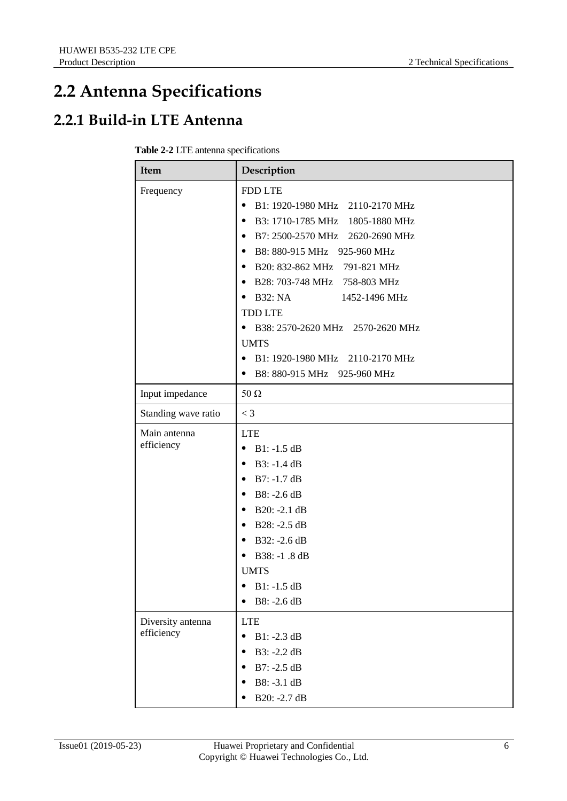#### <span id="page-13-0"></span>**2.2 Antenna Specifications**

#### <span id="page-13-1"></span>**2.2.1 Build-in LTE Antenna**

| Table 2-2 LTE antenna specifications |  |
|--------------------------------------|--|
|--------------------------------------|--|

| Item                            | Description                                                                                                                                                                                                                                                                                                                                                                                                                                                 |
|---------------------------------|-------------------------------------------------------------------------------------------------------------------------------------------------------------------------------------------------------------------------------------------------------------------------------------------------------------------------------------------------------------------------------------------------------------------------------------------------------------|
| Frequency                       | <b>FDD LTE</b><br>B1: 1920-1980 MHz 2110-2170 MHz<br>٠<br>B3: 1710-1785 MHz 1805-1880 MHz<br>$\bullet$<br>• B7: 2500-2570 MHz 2620-2690 MHz<br>B8: 880-915 MHz 925-960 MHz<br>٠<br>• B20: 832-862 MHz 791-821 MHz<br>• B28: 703-748 MHz 758-803 MHz<br><b>B32: NA</b><br>1452-1496 MHz<br>$\bullet$<br><b>TDD LTE</b><br>• B38: 2570-2620 MHz 2570-2620 MHz<br><b>UMTS</b><br>• B1: 1920-1980 MHz 2110-2170 MHz<br>B8: 880-915 MHz 925-960 MHz<br>$\bullet$ |
| Input impedance                 | $50 \Omega$                                                                                                                                                                                                                                                                                                                                                                                                                                                 |
| Standing wave ratio             | $<$ 3                                                                                                                                                                                                                                                                                                                                                                                                                                                       |
| Main antenna<br>efficiency      | <b>LTE</b><br>$B1: -1.5 dB$<br>$\bullet$<br>$B3: -1.4 dB$<br>٠<br>$B7: -1.7$ dB<br>٠<br>B8: -2.6 dB<br>$\bullet$<br>• B20: -2.1 dB<br>B28: -2.5 dB<br>٠<br>• B32: -2.6 dB<br>B38: -1.8 dB<br><b>UMTS</b><br>$B1: -1.5 dB$<br>B8: -2.6 dB                                                                                                                                                                                                                    |
| Diversity antenna<br>efficiency | <b>LTE</b><br>$B1: -2.3 dB$<br>$\bullet$<br>B3: -2.2 dB<br>$B7: -2.5 dB$<br>B8: -3.1 dB<br>B20: -2.7 dB                                                                                                                                                                                                                                                                                                                                                     |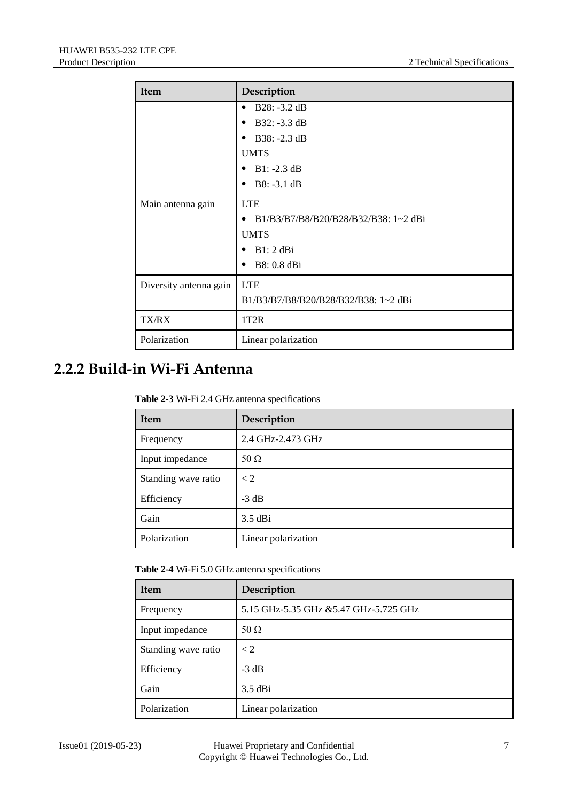| Item                   | Description                               |  |  |
|------------------------|-------------------------------------------|--|--|
|                        | $B28: -3.2 dB$<br>$\bullet$               |  |  |
|                        | $B32: -3.3 dB$<br>$\bullet$               |  |  |
|                        | $B38: -2.3 dB$<br>٠                       |  |  |
|                        | <b>UMTS</b>                               |  |  |
|                        | • $B1: -2.3 dB$                           |  |  |
|                        | $B8: -3.1 dB$<br>٠                        |  |  |
| Main antenna gain      | <b>LTE</b>                                |  |  |
|                        | B1/B3/B7/B8/B20/B28/B32/B38: 1~2 dBi<br>٠ |  |  |
|                        | <b>UMTS</b>                               |  |  |
|                        | B1:2 dBi                                  |  |  |
|                        | B8: 0.8 dBi                               |  |  |
| Diversity antenna gain | <b>LTE</b>                                |  |  |
|                        | B1/B3/B7/B8/B20/B28/B32/B38: 1~2 dBi      |  |  |
| TX/RX                  | 1T <sub>2</sub> R                         |  |  |
| Polarization           | Linear polarization                       |  |  |

#### <span id="page-14-0"></span>**2.2.2 Build-in Wi-Fi Antenna**

| <b>Table 2-3</b> Wi-Fi 2.4 GHz antenna specifications |  |
|-------------------------------------------------------|--|
|-------------------------------------------------------|--|

| <b>Item</b>         | Description         |
|---------------------|---------------------|
| Frequency           | 2.4 GHz-2.473 GHz   |
| Input impedance     | 50 $\Omega$         |
| Standing wave ratio | < 2                 |
| Efficiency          | $-3$ dB             |
| Gain                | $3.5$ dBi           |
| Polarization        | Linear polarization |

**Table 2-4** Wi-Fi 5.0 GHz antenna specifications

| Item                | Description                           |
|---------------------|---------------------------------------|
| Frequency           | 5.15 GHz-5.35 GHz &5.47 GHz-5.725 GHz |
| Input impedance     | 50 $\Omega$                           |
| Standing wave ratio | $\lt 2$                               |
| Efficiency          | $-3$ dB                               |
| Gain                | $3.5$ dBi                             |
| Polarization        | Linear polarization                   |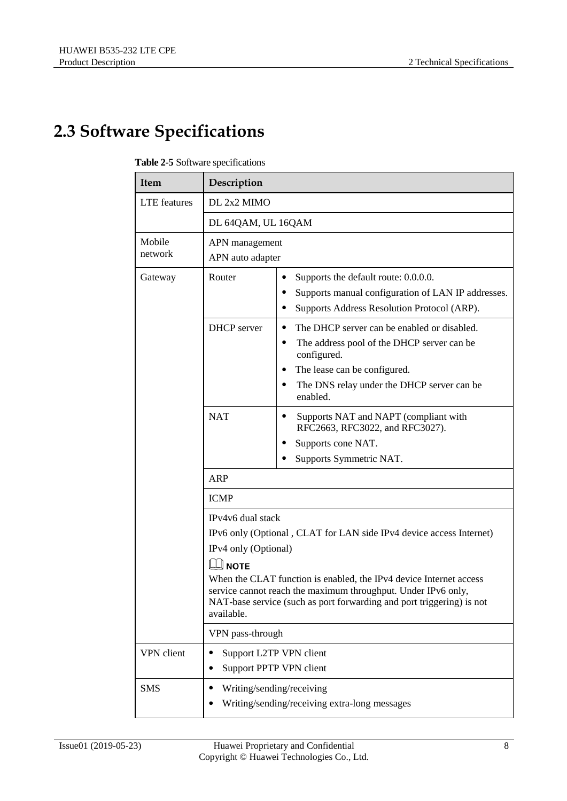#### <span id="page-15-0"></span>**2.3 Software Specifications**

| Item              | Description                                                                                                                                                                                                                                                                                 |                                                                                                                                                                                                                        |  |
|-------------------|---------------------------------------------------------------------------------------------------------------------------------------------------------------------------------------------------------------------------------------------------------------------------------------------|------------------------------------------------------------------------------------------------------------------------------------------------------------------------------------------------------------------------|--|
| LTE features      | DL 2x2 MIMO                                                                                                                                                                                                                                                                                 |                                                                                                                                                                                                                        |  |
|                   | DL 64QAM, UL 16QAM                                                                                                                                                                                                                                                                          |                                                                                                                                                                                                                        |  |
| Mobile<br>network | APN management<br>APN auto adapter                                                                                                                                                                                                                                                          |                                                                                                                                                                                                                        |  |
| Gateway           | Router                                                                                                                                                                                                                                                                                      | Supports the default route: 0.0.0.0.<br>٠<br>Supports manual configuration of LAN IP addresses.<br>Supports Address Resolution Protocol (ARP).                                                                         |  |
|                   | <b>DHCP</b> server                                                                                                                                                                                                                                                                          | The DHCP server can be enabled or disabled.<br>٠<br>The address pool of the DHCP server can be<br>٠<br>configured.<br>The lease can be configured.<br>٠<br>The DNS relay under the DHCP server can be<br>٠<br>enabled. |  |
|                   | <b>NAT</b>                                                                                                                                                                                                                                                                                  | Supports NAT and NAPT (compliant with<br>٠<br>RFC2663, RFC3022, and RFC3027).<br>Supports cone NAT.<br>Supports Symmetric NAT.                                                                                         |  |
|                   | ARP                                                                                                                                                                                                                                                                                         |                                                                                                                                                                                                                        |  |
|                   | <b>ICMP</b>                                                                                                                                                                                                                                                                                 |                                                                                                                                                                                                                        |  |
|                   | IPv4v6 dual stack<br>IPv6 only (Optional, CLAT for LAN side IPv4 device access Internet)<br>IPv4 only (Optional)<br>$\exists$ <code>NOTE</code><br>Ш<br>When the CLAT function is enabled, the IPv4 device Internet access<br>service cannot reach the maximum throughput. Under IPv6 only, |                                                                                                                                                                                                                        |  |
|                   | NAT-base service (such as port forwarding and port triggering) is not<br>available.                                                                                                                                                                                                         |                                                                                                                                                                                                                        |  |
|                   | VPN pass-through                                                                                                                                                                                                                                                                            |                                                                                                                                                                                                                        |  |
| VPN client        | Support L2TP VPN client<br>Support PPTP VPN client                                                                                                                                                                                                                                          |                                                                                                                                                                                                                        |  |
| <b>SMS</b>        | Writing/sending/receiving<br>Writing/sending/receiving extra-long messages                                                                                                                                                                                                                  |                                                                                                                                                                                                                        |  |

#### **Table 2-5** Software specifications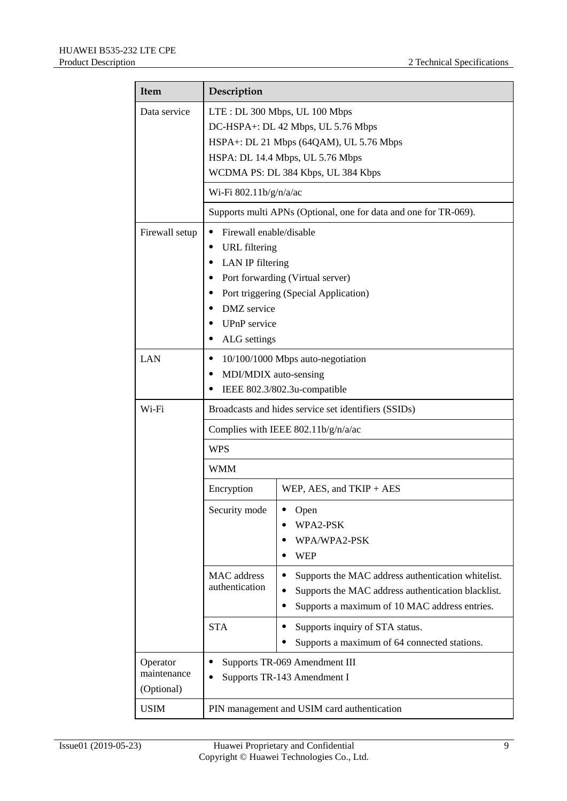| <b>Item</b>                           | Description                                                                                                                                                                                                                                                                            |                                                                                                                                                                        |  |
|---------------------------------------|----------------------------------------------------------------------------------------------------------------------------------------------------------------------------------------------------------------------------------------------------------------------------------------|------------------------------------------------------------------------------------------------------------------------------------------------------------------------|--|
| Data service                          | LTE: DL 300 Mbps, UL 100 Mbps<br>DC-HSPA+: DL 42 Mbps, UL 5.76 Mbps<br>HSPA+: DL 21 Mbps (64QAM), UL 5.76 Mbps<br>HSPA: DL 14.4 Mbps, UL 5.76 Mbps<br>WCDMA PS: DL 384 Kbps, UL 384 Kbps<br>Wi-Fi 802.11b/g/n/a/ac<br>Supports multi APNs (Optional, one for data and one for TR-069). |                                                                                                                                                                        |  |
|                                       |                                                                                                                                                                                                                                                                                        |                                                                                                                                                                        |  |
| Firewall setup                        | Firewall enable/disable<br><b>URL</b> filtering<br>LAN IP filtering<br>Port forwarding (Virtual server)<br>٠<br>Port triggering (Special Application)<br><b>DMZ</b> service<br>UPnP service<br>٠<br>ALG settings<br>٠                                                                  |                                                                                                                                                                        |  |
| LAN                                   | 10/100/1000 Mbps auto-negotiation<br>٠<br>MDI/MDIX auto-sensing<br>٠<br>IEEE 802.3/802.3u-compatible                                                                                                                                                                                   |                                                                                                                                                                        |  |
| Wi-Fi                                 | Broadcasts and hides service set identifiers (SSIDs)<br>Complies with IEEE 802.11b/g/n/a/ac<br><b>WPS</b><br><b>WMM</b>                                                                                                                                                                |                                                                                                                                                                        |  |
|                                       |                                                                                                                                                                                                                                                                                        |                                                                                                                                                                        |  |
|                                       |                                                                                                                                                                                                                                                                                        |                                                                                                                                                                        |  |
|                                       |                                                                                                                                                                                                                                                                                        |                                                                                                                                                                        |  |
|                                       | Encryption                                                                                                                                                                                                                                                                             | WEP, AES, and TKIP + AES                                                                                                                                               |  |
|                                       | Security mode                                                                                                                                                                                                                                                                          | Open<br>WPA2-PSK<br>WPA/WPA2-PSK<br><b>WEP</b>                                                                                                                         |  |
|                                       | <b>MAC</b> address<br>authentication                                                                                                                                                                                                                                                   | Supports the MAC address authentication whitelist.<br>Supports the MAC address authentication blacklist.<br>Supports a maximum of 10 MAC address entries.<br>$\bullet$ |  |
|                                       | <b>STA</b>                                                                                                                                                                                                                                                                             | Supports inquiry of STA status.<br>Supports a maximum of 64 connected stations.                                                                                        |  |
| Operator<br>maintenance<br>(Optional) | Supports TR-069 Amendment III<br>٠<br>Supports TR-143 Amendment I                                                                                                                                                                                                                      |                                                                                                                                                                        |  |
| <b>USIM</b>                           | PIN management and USIM card authentication                                                                                                                                                                                                                                            |                                                                                                                                                                        |  |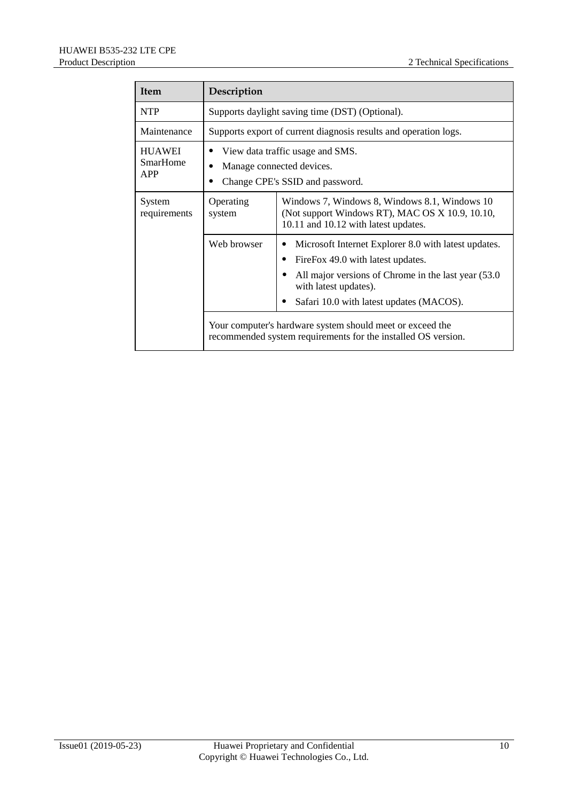| <b>Item</b>                                    | Description                                                                                      |                                                                                                                                                                                                                             |  |
|------------------------------------------------|--------------------------------------------------------------------------------------------------|-----------------------------------------------------------------------------------------------------------------------------------------------------------------------------------------------------------------------------|--|
| <b>NTP</b>                                     | Supports daylight saving time (DST) (Optional).                                                  |                                                                                                                                                                                                                             |  |
| Maintenance                                    | Supports export of current diagnosis results and operation logs.                                 |                                                                                                                                                                                                                             |  |
| <b>HUAWEI</b><br><b>SmarHome</b><br><b>APP</b> | View data traffic usage and SMS.<br>Manage connected devices.<br>Change CPE's SSID and password. |                                                                                                                                                                                                                             |  |
| System<br>requirements                         | Operating<br>system                                                                              | Windows 7, Windows 8, Windows 8.1, Windows 10<br>(Not support Windows RT), MAC OS X 10.9, 10.10,<br>10.11 and 10.12 with latest updates.                                                                                    |  |
|                                                | Web browser                                                                                      | Microsoft Internet Explorer 8.0 with latest updates.<br>FireFox 49.0 with latest updates.<br>٠<br>All major versions of Chrome in the last year (53.0)<br>with latest updates).<br>Safari 10.0 with latest updates (MACOS). |  |
|                                                |                                                                                                  | Your computer's hardware system should meet or exceed the<br>recommended system requirements for the installed OS version.                                                                                                  |  |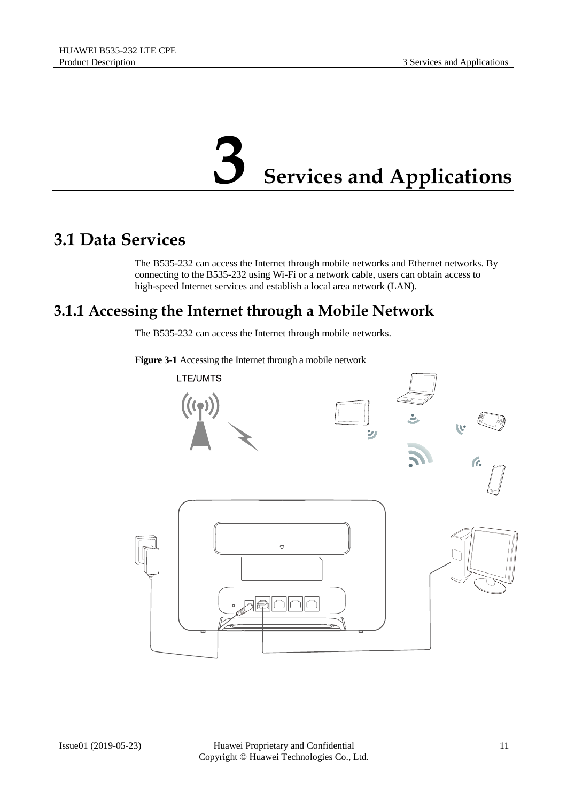## **3 Services and Applications**

#### <span id="page-18-1"></span><span id="page-18-0"></span>**3.1 Data Services**

The B535-232 can access the Internet through mobile networks and Ethernet networks. By connecting to the B535-232 using Wi-Fi or a network cable, users can obtain access to high-speed Internet services and establish a local area network (LAN).

#### <span id="page-18-2"></span>**3.1.1 Accessing the Internet through a Mobile Network**

The B535-232 can access the Internet through mobile networks.

**Figure 3-1** Accessing the Internet through a mobile network

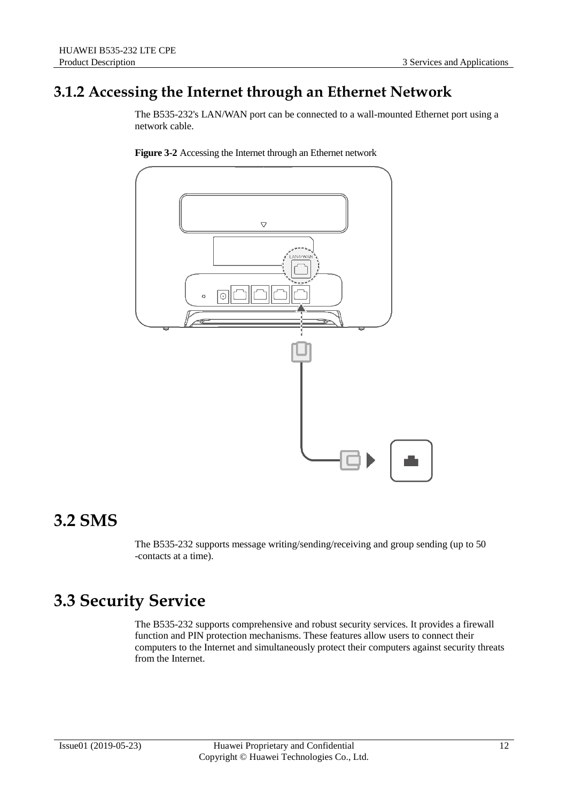#### <span id="page-19-0"></span>**3.1.2 Accessing the Internet through an Ethernet Network**

The B535-232's LAN/WAN port can be connected to a wall-mounted Ethernet port using a network cable.





#### <span id="page-19-1"></span>**3.2 SMS**

The B535-232 supports message writing/sending/receiving and group sending (up to 50 -contacts at a time).

#### <span id="page-19-2"></span>**3.3 Security Service**

The B535-232 supports comprehensive and robust security services. It provides a firewall function and PIN protection mechanisms. These features allow users to connect their computers to the Internet and simultaneously protect their computers against security threats from the Internet.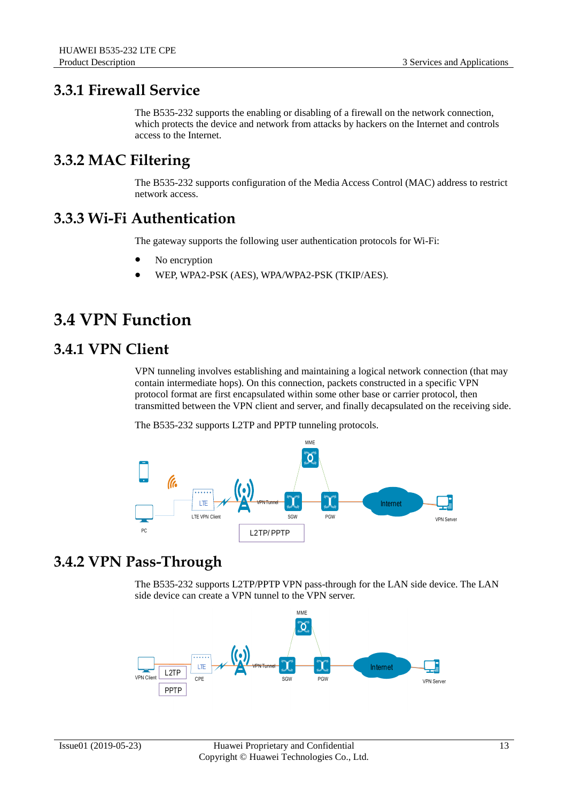#### <span id="page-20-0"></span>**3.3.1 Firewall Service**

The B535-232 supports the enabling or disabling of a firewall on the network connection, which protects the device and network from attacks by hackers on the Internet and controls access to the Internet.

#### <span id="page-20-1"></span>**3.3.2 MAC Filtering**

The B535-232 supports configuration of the Media Access Control (MAC) address to restrict network access.

#### <span id="page-20-2"></span>**3.3.3 Wi-Fi Authentication**

The gateway supports the following user authentication protocols for Wi-Fi:

- No encryption
- WEP, WPA2-PSK (AES), WPA/WPA2-PSK (TKIP/AES).

#### <span id="page-20-3"></span>**3.4 VPN Function**

#### <span id="page-20-4"></span>**3.4.1 VPN Client**

VPN tunneling involves establishing and maintaining a logical network connection (that may contain intermediate hops). On this connection, packets constructed in a specific VPN protocol format are first encapsulated within some other base or carrier protocol, then transmitted between the VPN client and server, and finally decapsulated on the receiving side.

The B535-232 supports L2TP and PPTP tunneling protocols.



#### <span id="page-20-5"></span>**3.4.2 VPN Pass-Through**

The B535-232 supports L2TP/PPTP VPN pass-through for the LAN side device. The LAN side device can create a VPN tunnel to the VPN server.

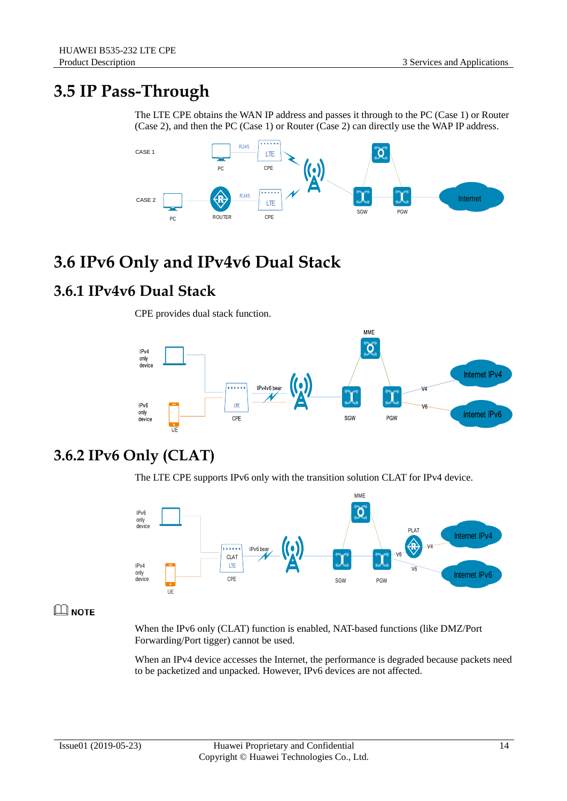#### <span id="page-21-0"></span>**3.5 IP Pass-Through**

The LTE CPE obtains the WAN IP address and passes it through to the PC (Case 1) or Router (Case 2), and then the PC (Case 1) or Router (Case 2) can directly use the WAP IP address.



#### <span id="page-21-1"></span>**3.6 IPv6 Only and IPv4v6 Dual Stack**

#### <span id="page-21-2"></span>**3.6.1 IPv4v6 Dual Stack**

CPE provides dual stack function.



#### <span id="page-21-3"></span>**3.6.2 IPv6 Only (CLAT)**

The LTE CPE supports IPv6 only with the transition solution CLAT for IPv4 device.



#### $\square$  NOTE

When the IPv6 only (CLAT) function is enabled, NAT-based functions (like DMZ/Port Forwarding/Port tigger) cannot be used.

When an IPv4 device accesses the Internet, the performance is degraded because packets need to be packetized and unpacked. However, IPv6 devices are not affected.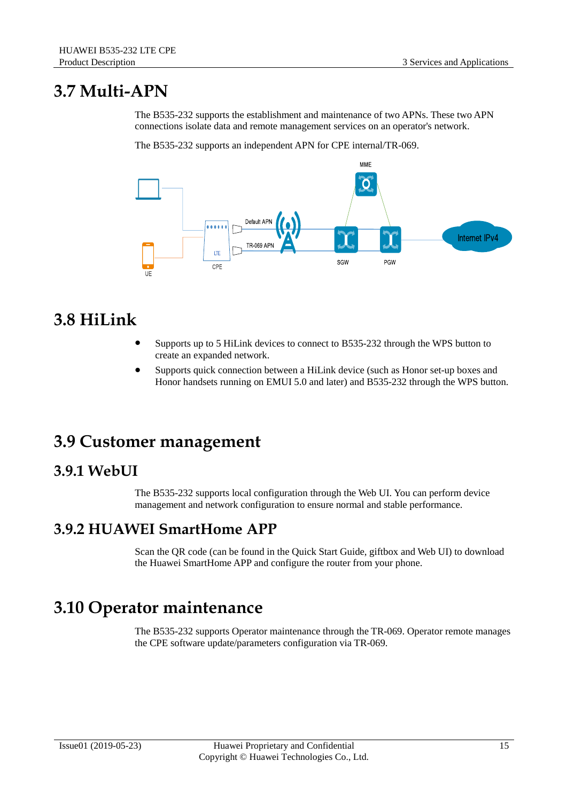#### <span id="page-22-0"></span>**3.7 Multi-APN**

The B535-232 supports the establishment and maintenance of two APNs. These two APN connections isolate data and remote management services on an operator's network.

The B535-232 supports an independent APN for CPE internal/TR-069.



#### <span id="page-22-1"></span>**3.8 HiLink**

- Supports up to 5 HiLink devices to connect to B535-232 through the WPS button to create an expanded network.
- Supports quick connection between a HiLink device (such as Honor set-up boxes and Honor handsets running on EMUI 5.0 and later) and B535-232 through the WPS button.

#### <span id="page-22-2"></span>**3.9 Customer management**

#### <span id="page-22-3"></span>**3.9.1 WebUI**

The B535-232 supports local configuration through the Web UI. You can perform device management and network configuration to ensure normal and stable performance.

#### <span id="page-22-4"></span>**3.9.2 HUAWEI SmartHome APP**

Scan the QR code (can be found in the Quick Start Guide, giftbox and Web UI) to download the Huawei SmartHome APP and configure the router from your phone.

#### <span id="page-22-5"></span>**3.10 Operator maintenance**

The B535-232 supports Operator maintenance through the TR-069. Operator remote manages the CPE software update/parameters configuration via TR-069.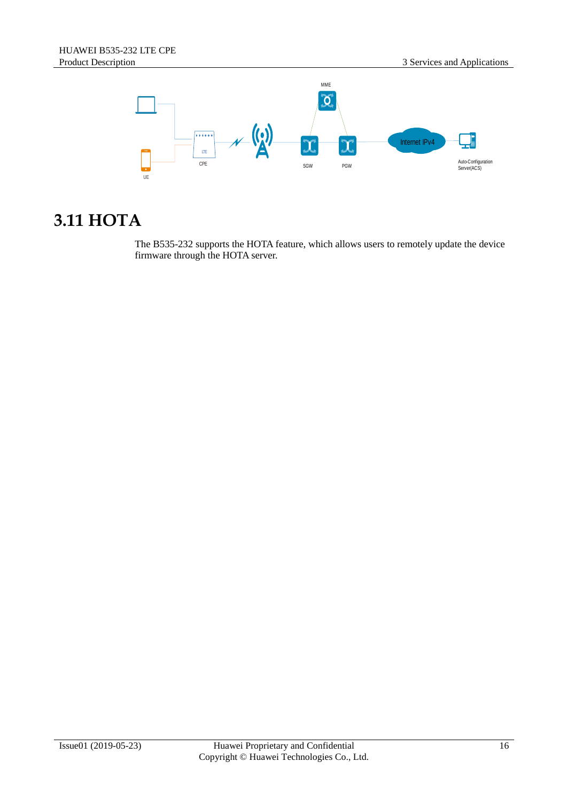

#### <span id="page-23-0"></span>**3.11 HOTA**

The B535-232 supports the HOTA feature, which allows users to remotely update the device firmware through the HOTA server.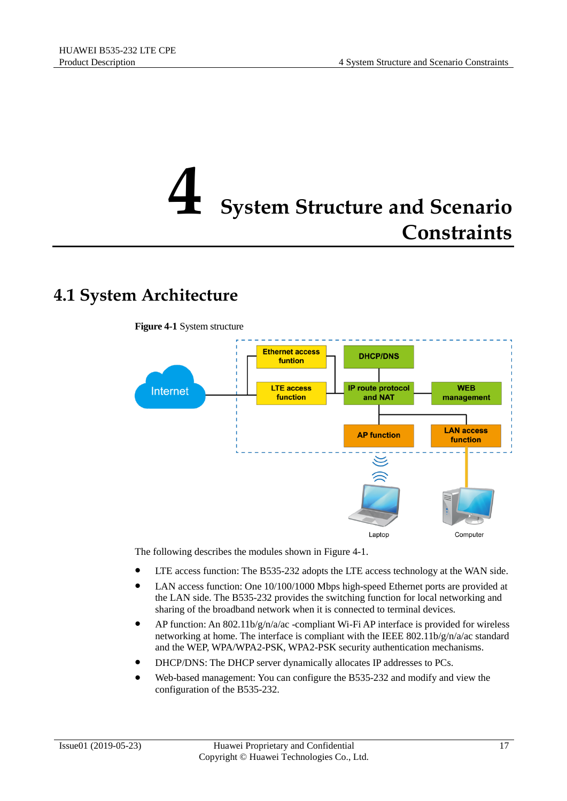### <span id="page-24-0"></span>**5ystem Structure and Scenario Constraints**

#### <span id="page-24-2"></span><span id="page-24-1"></span>**4.1 System Architecture**



The following describes the modules shown in [Figure 4-1.](#page-24-2)

- LTE access function: The B535-232 adopts the LTE access technology at the WAN side.
- LAN access function: One 10/100/1000 Mbps high-speed Ethernet ports are provided at the LAN side. The B535-232 provides the switching function for local networking and sharing of the broadband network when it is connected to terminal devices.
- AP function: An 802.11b/g/n/a/ac -compliant Wi-Fi AP interface is provided for wireless networking at home. The interface is compliant with the IEEE 802.11b/g/n/a/ac standard and the WEP, WPA/WPA2-PSK, WPA2-PSK security authentication mechanisms.
- DHCP/DNS: The DHCP server dynamically allocates IP addresses to PCs.
- Web-based management: You can configure the B535-232 and modify and view the configuration of the B535-232.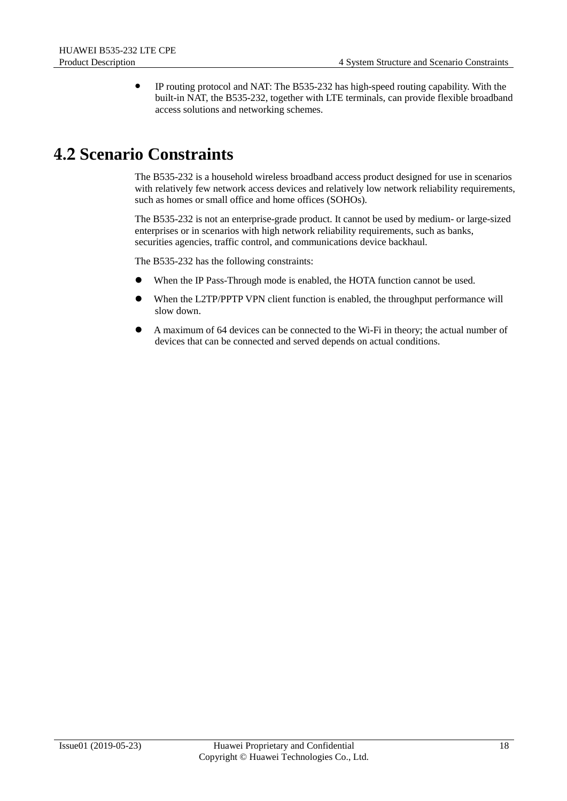IP routing protocol and NAT: The B535-232 has high-speed routing capability. With the built-in NAT, the B535-232, together with LTE terminals, can provide flexible broadband access solutions and networking schemes.

#### <span id="page-25-0"></span>**4.2 Scenario Constraints**

The B535-232 is a household wireless broadband access product designed for use in scenarios with relatively few network access devices and relatively low network reliability requirements, such as homes or small office and home offices (SOHOs).

The B535-232 is not an enterprise-grade product. It cannot be used by medium- or large-sized enterprises or in scenarios with high network reliability requirements, such as banks, securities agencies, traffic control, and communications device backhaul.

The B535-232 has the following constraints:

- When the IP Pass-Through mode is enabled, the HOTA function cannot be used.
- When the L2TP/PPTP VPN client function is enabled, the throughput performance will slow down.
- A maximum of 64 devices can be connected to the Wi-Fi in theory; the actual number of devices that can be connected and served depends on actual conditions.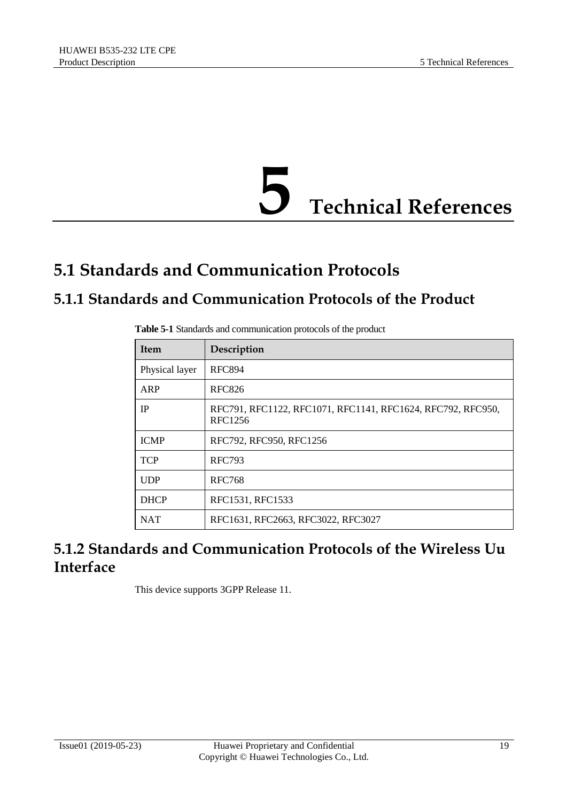

#### <span id="page-26-1"></span><span id="page-26-0"></span>**5.1 Standards and Communication Protocols**

#### <span id="page-26-2"></span>**5.1.1 Standards and Communication Protocols of the Product**

| <b>Item</b>    | Description                                                            |
|----------------|------------------------------------------------------------------------|
| Physical layer | <b>RFC894</b>                                                          |
| ARP            | <b>RFC826</b>                                                          |
| <b>IP</b>      | RFC791, RFC1122, RFC1071, RFC1141, RFC1624, RFC792, RFC950,<br>RFC1256 |
| <b>ICMP</b>    | RFC792, RFC950, RFC1256                                                |
| <b>TCP</b>     | <b>RFC793</b>                                                          |
| <b>UDP</b>     | <b>RFC768</b>                                                          |
| <b>DHCP</b>    | RFC1531, RFC1533                                                       |
| <b>NAT</b>     | RFC1631, RFC2663, RFC3022, RFC3027                                     |

**Table 5-1** Standards and communication protocols of the product

#### <span id="page-26-3"></span>**5.1.2 Standards and Communication Protocols of the Wireless Uu Interface**

This device supports 3GPP Release 11.